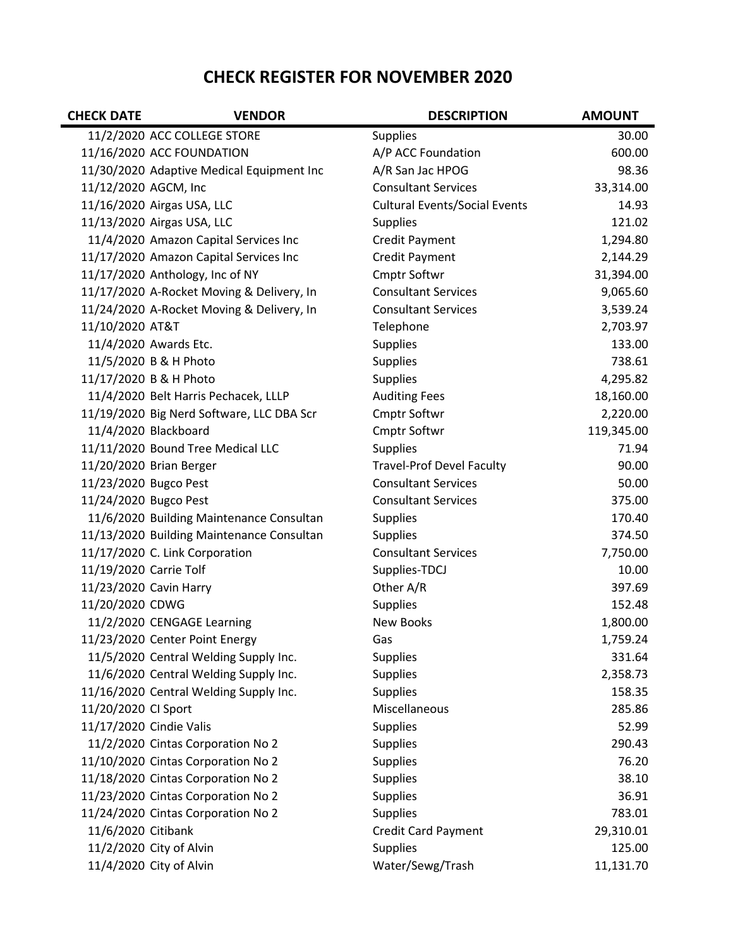## CHECK REGISTER FOR NOVEMBER 2020

| <b>CHECK DATE</b>       | <b>VENDOR</b>                             | <b>DESCRIPTION</b>                   | <b>AMOUNT</b> |
|-------------------------|-------------------------------------------|--------------------------------------|---------------|
|                         | 11/2/2020 ACC COLLEGE STORE               | <b>Supplies</b>                      | 30.00         |
|                         | 11/16/2020 ACC FOUNDATION                 | A/P ACC Foundation                   | 600.00        |
|                         | 11/30/2020 Adaptive Medical Equipment Inc | A/R San Jac HPOG                     | 98.36         |
| 11/12/2020 AGCM, Inc    |                                           | <b>Consultant Services</b>           | 33,314.00     |
|                         | 11/16/2020 Airgas USA, LLC                | <b>Cultural Events/Social Events</b> | 14.93         |
|                         | 11/13/2020 Airgas USA, LLC                | <b>Supplies</b>                      | 121.02        |
|                         | 11/4/2020 Amazon Capital Services Inc     | Credit Payment                       | 1,294.80      |
|                         | 11/17/2020 Amazon Capital Services Inc    | Credit Payment                       | 2,144.29      |
|                         | 11/17/2020 Anthology, Inc of NY           | Cmptr Softwr                         | 31,394.00     |
|                         | 11/17/2020 A-Rocket Moving & Delivery, In | <b>Consultant Services</b>           | 9,065.60      |
|                         | 11/24/2020 A-Rocket Moving & Delivery, In | <b>Consultant Services</b>           | 3,539.24      |
| 11/10/2020 AT&T         |                                           | Telephone                            | 2,703.97      |
|                         | 11/4/2020 Awards Etc.                     | Supplies                             | 133.00        |
|                         | 11/5/2020 B & H Photo                     | <b>Supplies</b>                      | 738.61        |
|                         | 11/17/2020 B & H Photo                    | Supplies                             | 4,295.82      |
|                         | 11/4/2020 Belt Harris Pechacek, LLLP      | <b>Auditing Fees</b>                 | 18,160.00     |
|                         | 11/19/2020 Big Nerd Software, LLC DBA Scr | Cmptr Softwr                         | 2,220.00      |
|                         | 11/4/2020 Blackboard                      | Cmptr Softwr                         | 119,345.00    |
|                         | 11/11/2020 Bound Tree Medical LLC         | <b>Supplies</b>                      | 71.94         |
|                         | 11/20/2020 Brian Berger                   | <b>Travel-Prof Devel Faculty</b>     | 90.00         |
| 11/23/2020 Bugco Pest   |                                           | <b>Consultant Services</b>           | 50.00         |
| 11/24/2020 Bugco Pest   |                                           | <b>Consultant Services</b>           | 375.00        |
|                         | 11/6/2020 Building Maintenance Consultan  | Supplies                             | 170.40        |
|                         | 11/13/2020 Building Maintenance Consultan | <b>Supplies</b>                      | 374.50        |
|                         | 11/17/2020 C. Link Corporation            | <b>Consultant Services</b>           | 7,750.00      |
| 11/19/2020 Carrie Tolf  |                                           | Supplies-TDCJ                        | 10.00         |
| 11/23/2020 Cavin Harry  |                                           | Other A/R                            | 397.69        |
| 11/20/2020 CDWG         |                                           | Supplies                             | 152.48        |
|                         | 11/2/2020 CENGAGE Learning                | New Books                            | 1,800.00      |
|                         | 11/23/2020 Center Point Energy            | Gas                                  | 1,759.24      |
|                         | 11/5/2020 Central Welding Supply Inc.     | <b>Supplies</b>                      | 331.64        |
|                         | 11/6/2020 Central Welding Supply Inc.     | <b>Supplies</b>                      | 2,358.73      |
|                         | 11/16/2020 Central Welding Supply Inc.    | <b>Supplies</b>                      | 158.35        |
| 11/20/2020 CI Sport     |                                           | Miscellaneous                        | 285.86        |
| 11/17/2020 Cindie Valis |                                           | <b>Supplies</b>                      | 52.99         |
|                         | 11/2/2020 Cintas Corporation No 2         | Supplies                             | 290.43        |
|                         | 11/10/2020 Cintas Corporation No 2        | <b>Supplies</b>                      | 76.20         |
|                         | 11/18/2020 Cintas Corporation No 2        | Supplies                             | 38.10         |
|                         | 11/23/2020 Cintas Corporation No 2        | Supplies                             | 36.91         |
|                         | 11/24/2020 Cintas Corporation No 2        | <b>Supplies</b>                      | 783.01        |
| 11/6/2020 Citibank      |                                           | <b>Credit Card Payment</b>           | 29,310.01     |
|                         | 11/2/2020 City of Alvin                   | <b>Supplies</b>                      | 125.00        |
|                         | 11/4/2020 City of Alvin                   | Water/Sewg/Trash                     | 11,131.70     |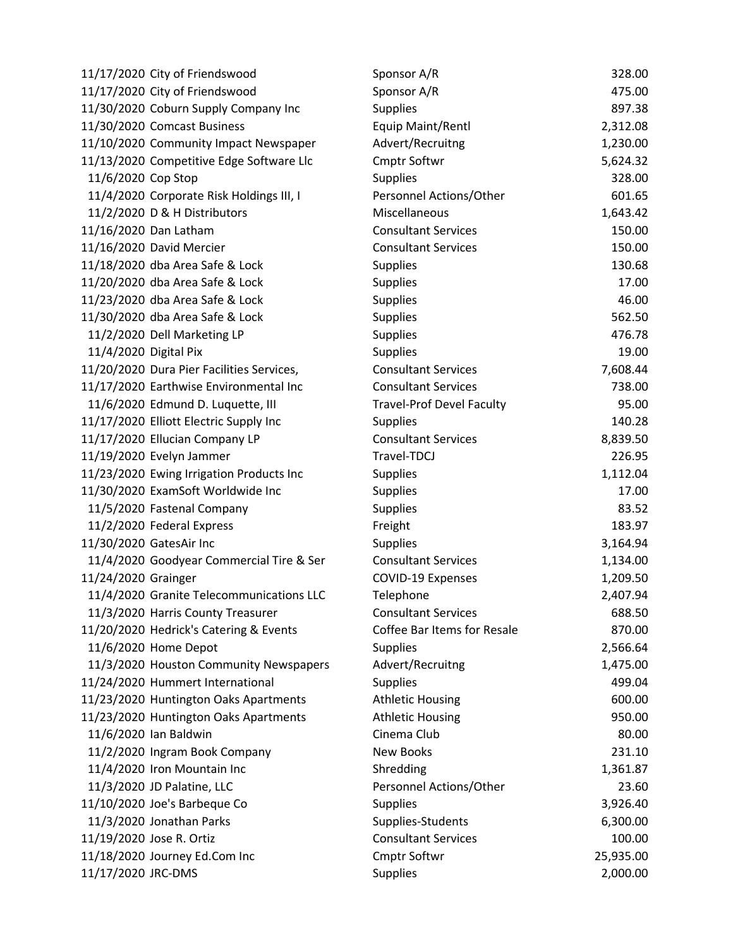|                       | 11/17/2020 City of Friendswood            | Sponsor A/R                      | 328.00    |
|-----------------------|-------------------------------------------|----------------------------------|-----------|
|                       | 11/17/2020 City of Friendswood            | Sponsor A/R                      | 475.00    |
|                       | 11/30/2020 Coburn Supply Company Inc      | <b>Supplies</b>                  | 897.38    |
|                       | 11/30/2020 Comcast Business               | Equip Maint/Rentl                | 2,312.08  |
|                       | 11/10/2020 Community Impact Newspaper     | Advert/Recruitng                 | 1,230.00  |
|                       | 11/13/2020 Competitive Edge Software Llc  | Cmptr Softwr                     | 5,624.32  |
| 11/6/2020 Cop Stop    |                                           | <b>Supplies</b>                  | 328.00    |
|                       | 11/4/2020 Corporate Risk Holdings III, I  | Personnel Actions/Other          | 601.65    |
|                       | 11/2/2020 D & H Distributors              | Miscellaneous                    | 1,643.42  |
|                       | 11/16/2020 Dan Latham                     | <b>Consultant Services</b>       | 150.00    |
|                       | 11/16/2020 David Mercier                  | <b>Consultant Services</b>       | 150.00    |
|                       | 11/18/2020 dba Area Safe & Lock           | <b>Supplies</b>                  | 130.68    |
|                       | 11/20/2020 dba Area Safe & Lock           | <b>Supplies</b>                  | 17.00     |
|                       | 11/23/2020 dba Area Safe & Lock           | <b>Supplies</b>                  | 46.00     |
|                       | 11/30/2020 dba Area Safe & Lock           | <b>Supplies</b>                  | 562.50    |
|                       | 11/2/2020 Dell Marketing LP               | Supplies                         | 476.78    |
| 11/4/2020 Digital Pix |                                           | Supplies                         | 19.00     |
|                       | 11/20/2020 Dura Pier Facilities Services, | <b>Consultant Services</b>       | 7,608.44  |
|                       | 11/17/2020 Earthwise Environmental Inc    | <b>Consultant Services</b>       | 738.00    |
|                       | 11/6/2020 Edmund D. Luquette, III         | <b>Travel-Prof Devel Faculty</b> | 95.00     |
|                       | 11/17/2020 Elliott Electric Supply Inc    | <b>Supplies</b>                  | 140.28    |
|                       | 11/17/2020 Ellucian Company LP            | <b>Consultant Services</b>       | 8,839.50  |
|                       | 11/19/2020 Evelyn Jammer                  | Travel-TDCJ                      | 226.95    |
|                       | 11/23/2020 Ewing Irrigation Products Inc  | <b>Supplies</b>                  | 1,112.04  |
|                       | 11/30/2020 ExamSoft Worldwide Inc         | <b>Supplies</b>                  | 17.00     |
|                       | 11/5/2020 Fastenal Company                | <b>Supplies</b>                  | 83.52     |
|                       | 11/2/2020 Federal Express                 | Freight                          | 183.97    |
|                       | 11/30/2020 GatesAir Inc                   | <b>Supplies</b>                  | 3,164.94  |
|                       | 11/4/2020 Goodyear Commercial Tire & Ser  | <b>Consultant Services</b>       | 1,134.00  |
| 11/24/2020 Grainger   |                                           | COVID-19 Expenses                | 1,209.50  |
|                       | 11/4/2020 Granite Telecommunications LLC  | Telephone                        | 2,407.94  |
|                       | 11/3/2020 Harris County Treasurer         | <b>Consultant Services</b>       | 688.50    |
|                       | 11/20/2020 Hedrick's Catering & Events    | Coffee Bar Items for Resale      | 870.00    |
|                       | 11/6/2020 Home Depot                      | <b>Supplies</b>                  | 2,566.64  |
|                       | 11/3/2020 Houston Community Newspapers    | Advert/Recruitng                 | 1,475.00  |
|                       | 11/24/2020 Hummert International          | <b>Supplies</b>                  | 499.04    |
|                       | 11/23/2020 Huntington Oaks Apartments     | <b>Athletic Housing</b>          | 600.00    |
|                       | 11/23/2020 Huntington Oaks Apartments     | <b>Athletic Housing</b>          | 950.00    |
|                       | 11/6/2020 Ian Baldwin                     | Cinema Club                      | 80.00     |
|                       | 11/2/2020 Ingram Book Company             | <b>New Books</b>                 | 231.10    |
|                       | 11/4/2020 Iron Mountain Inc               | Shredding                        | 1,361.87  |
|                       | 11/3/2020 JD Palatine, LLC                | Personnel Actions/Other          | 23.60     |
|                       | 11/10/2020 Joe's Barbeque Co              | <b>Supplies</b>                  | 3,926.40  |
|                       | 11/3/2020 Jonathan Parks                  | Supplies-Students                | 6,300.00  |
|                       | 11/19/2020 Jose R. Ortiz                  | <b>Consultant Services</b>       | 100.00    |
|                       | 11/18/2020 Journey Ed.Com Inc             | <b>Cmptr Softwr</b>              | 25,935.00 |
| 11/17/2020 JRC-DMS    |                                           | <b>Supplies</b>                  | 2,000.00  |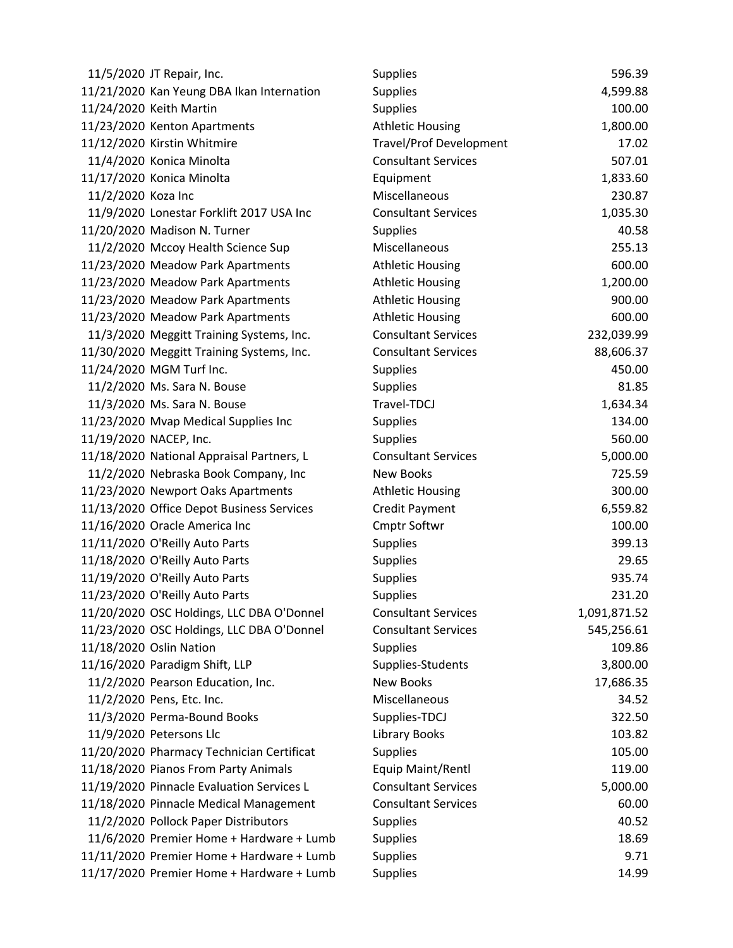|                        | 11/5/2020 JT Repair, Inc.                 | <b>Supplies</b>                | 596.39       |
|------------------------|-------------------------------------------|--------------------------------|--------------|
|                        | 11/21/2020 Kan Yeung DBA Ikan Internation | <b>Supplies</b>                | 4,599.88     |
|                        | 11/24/2020 Keith Martin                   | <b>Supplies</b>                | 100.00       |
|                        | 11/23/2020 Kenton Apartments              | <b>Athletic Housing</b>        | 1,800.00     |
|                        | 11/12/2020 Kirstin Whitmire               | <b>Travel/Prof Development</b> | 17.02        |
|                        | 11/4/2020 Konica Minolta                  | <b>Consultant Services</b>     | 507.01       |
|                        | 11/17/2020 Konica Minolta                 | Equipment                      | 1,833.60     |
| 11/2/2020 Koza Inc     |                                           | Miscellaneous                  | 230.87       |
|                        | 11/9/2020 Lonestar Forklift 2017 USA Inc  | <b>Consultant Services</b>     | 1,035.30     |
|                        | 11/20/2020 Madison N. Turner              | <b>Supplies</b>                | 40.58        |
|                        | 11/2/2020 Mccoy Health Science Sup        | Miscellaneous                  | 255.13       |
|                        | 11/23/2020 Meadow Park Apartments         | <b>Athletic Housing</b>        | 600.00       |
|                        | 11/23/2020 Meadow Park Apartments         | <b>Athletic Housing</b>        | 1,200.00     |
|                        | 11/23/2020 Meadow Park Apartments         | <b>Athletic Housing</b>        | 900.00       |
|                        | 11/23/2020 Meadow Park Apartments         | <b>Athletic Housing</b>        | 600.00       |
|                        | 11/3/2020 Meggitt Training Systems, Inc.  | <b>Consultant Services</b>     | 232,039.99   |
|                        | 11/30/2020 Meggitt Training Systems, Inc. | <b>Consultant Services</b>     | 88,606.37    |
|                        | 11/24/2020 MGM Turf Inc.                  | <b>Supplies</b>                | 450.00       |
|                        | 11/2/2020 Ms. Sara N. Bouse               | <b>Supplies</b>                | 81.85        |
|                        | 11/3/2020 Ms. Sara N. Bouse               | Travel-TDCJ                    | 1,634.34     |
|                        | 11/23/2020 Mvap Medical Supplies Inc      | Supplies                       | 134.00       |
| 11/19/2020 NACEP, Inc. |                                           | <b>Supplies</b>                | 560.00       |
|                        | 11/18/2020 National Appraisal Partners, L | <b>Consultant Services</b>     | 5,000.00     |
|                        | 11/2/2020 Nebraska Book Company, Inc      | New Books                      | 725.59       |
|                        | 11/23/2020 Newport Oaks Apartments        | <b>Athletic Housing</b>        | 300.00       |
|                        | 11/13/2020 Office Depot Business Services | Credit Payment                 | 6,559.82     |
|                        | 11/16/2020 Oracle America Inc             | <b>Cmptr Softwr</b>            | 100.00       |
|                        | 11/11/2020 O'Reilly Auto Parts            | <b>Supplies</b>                | 399.13       |
|                        | 11/18/2020 O'Reilly Auto Parts            | <b>Supplies</b>                | 29.65        |
|                        | 11/19/2020 O'Reilly Auto Parts            | <b>Supplies</b>                | 935.74       |
|                        | 11/23/2020 O'Reilly Auto Parts            | <b>Supplies</b>                | 231.20       |
|                        | 11/20/2020 OSC Holdings, LLC DBA O'Donnel | <b>Consultant Services</b>     | 1,091,871.52 |
|                        | 11/23/2020 OSC Holdings, LLC DBA O'Donnel | <b>Consultant Services</b>     | 545,256.61   |
|                        | 11/18/2020 Oslin Nation                   | <b>Supplies</b>                | 109.86       |
|                        | 11/16/2020 Paradigm Shift, LLP            | Supplies-Students              | 3,800.00     |
|                        | 11/2/2020 Pearson Education, Inc.         | <b>New Books</b>               | 17,686.35    |
|                        | 11/2/2020 Pens, Etc. Inc.                 | Miscellaneous                  | 34.52        |
|                        | 11/3/2020 Perma-Bound Books               | Supplies-TDCJ                  | 322.50       |
|                        | 11/9/2020 Petersons Llc                   | <b>Library Books</b>           | 103.82       |
|                        | 11/20/2020 Pharmacy Technician Certificat | <b>Supplies</b>                | 105.00       |
|                        | 11/18/2020 Pianos From Party Animals      | Equip Maint/Rentl              | 119.00       |
|                        | 11/19/2020 Pinnacle Evaluation Services L | <b>Consultant Services</b>     | 5,000.00     |
|                        | 11/18/2020 Pinnacle Medical Management    | <b>Consultant Services</b>     | 60.00        |
|                        | 11/2/2020 Pollock Paper Distributors      | Supplies                       | 40.52        |
|                        | 11/6/2020 Premier Home + Hardware + Lumb  | <b>Supplies</b>                | 18.69        |
|                        | 11/11/2020 Premier Home + Hardware + Lumb | <b>Supplies</b>                | 9.71         |
|                        | 11/17/2020 Premier Home + Hardware + Lumb | Supplies                       | 14.99        |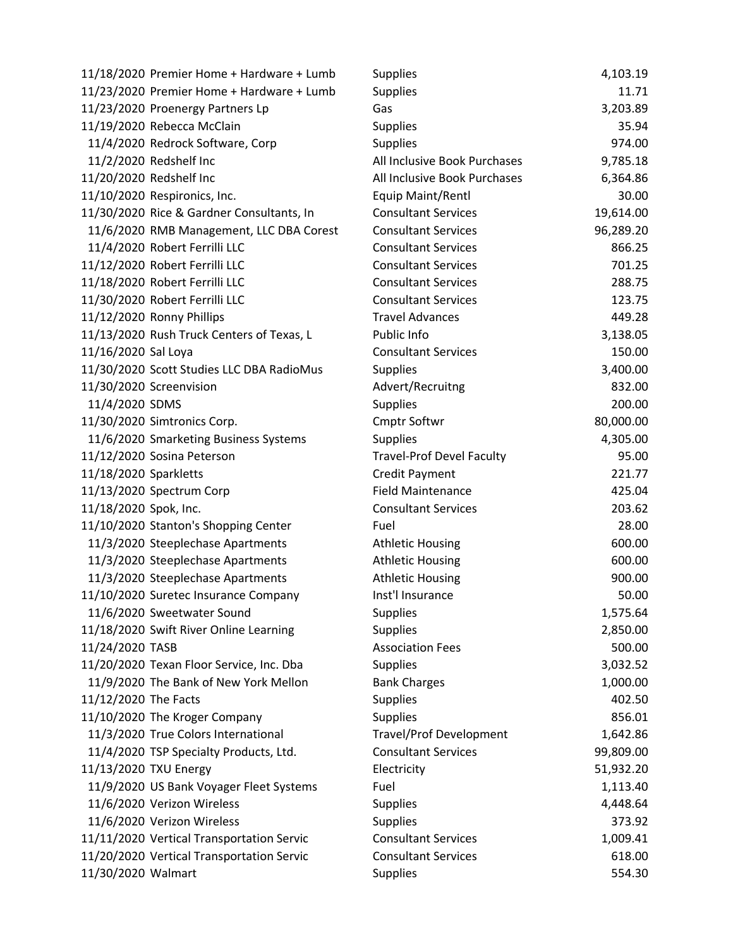|                       | 11/18/2020 Premier Home + Hardware + Lumb | Supplies                         | 4,103.19  |
|-----------------------|-------------------------------------------|----------------------------------|-----------|
|                       | 11/23/2020 Premier Home + Hardware + Lumb | <b>Supplies</b>                  | 11.71     |
|                       | 11/23/2020 Proenergy Partners Lp          | Gas                              | 3,203.89  |
|                       | 11/19/2020 Rebecca McClain                | <b>Supplies</b>                  | 35.94     |
|                       | 11/4/2020 Redrock Software, Corp          | <b>Supplies</b>                  | 974.00    |
|                       | 11/2/2020 Redshelf Inc                    | All Inclusive Book Purchases     | 9,785.18  |
|                       | 11/20/2020 Redshelf Inc                   | All Inclusive Book Purchases     | 6,364.86  |
|                       | 11/10/2020 Respironics, Inc.              | Equip Maint/Rentl                | 30.00     |
|                       | 11/30/2020 Rice & Gardner Consultants, In | <b>Consultant Services</b>       | 19,614.00 |
|                       | 11/6/2020 RMB Management, LLC DBA Corest  | <b>Consultant Services</b>       | 96,289.20 |
|                       | 11/4/2020 Robert Ferrilli LLC             | <b>Consultant Services</b>       | 866.25    |
|                       | 11/12/2020 Robert Ferrilli LLC            | <b>Consultant Services</b>       | 701.25    |
|                       | 11/18/2020 Robert Ferrilli LLC            | <b>Consultant Services</b>       | 288.75    |
|                       | 11/30/2020 Robert Ferrilli LLC            | <b>Consultant Services</b>       | 123.75    |
|                       | 11/12/2020 Ronny Phillips                 | <b>Travel Advances</b>           | 449.28    |
|                       | 11/13/2020 Rush Truck Centers of Texas, L | Public Info                      | 3,138.05  |
| 11/16/2020 Sal Loya   |                                           | <b>Consultant Services</b>       | 150.00    |
|                       | 11/30/2020 Scott Studies LLC DBA RadioMus | <b>Supplies</b>                  | 3,400.00  |
|                       | 11/30/2020 Screenvision                   | Advert/Recruitng                 | 832.00    |
| 11/4/2020 SDMS        |                                           | <b>Supplies</b>                  | 200.00    |
|                       | 11/30/2020 Simtronics Corp.               | Cmptr Softwr                     | 80,000.00 |
|                       | 11/6/2020 Smarketing Business Systems     | <b>Supplies</b>                  | 4,305.00  |
|                       | 11/12/2020 Sosina Peterson                | <b>Travel-Prof Devel Faculty</b> | 95.00     |
| 11/18/2020 Sparkletts |                                           | <b>Credit Payment</b>            | 221.77    |
|                       | 11/13/2020 Spectrum Corp                  | <b>Field Maintenance</b>         | 425.04    |
| 11/18/2020 Spok, Inc. |                                           | <b>Consultant Services</b>       | 203.62    |
|                       | 11/10/2020 Stanton's Shopping Center      | Fuel                             | 28.00     |
|                       | 11/3/2020 Steeplechase Apartments         | <b>Athletic Housing</b>          | 600.00    |
|                       | 11/3/2020 Steeplechase Apartments         | <b>Athletic Housing</b>          | 600.00    |
|                       | 11/3/2020 Steeplechase Apartments         | <b>Athletic Housing</b>          | 900.00    |
|                       | 11/10/2020 Suretec Insurance Company      | Inst'l Insurance                 | 50.00     |
|                       | 11/6/2020 Sweetwater Sound                | <b>Supplies</b>                  | 1,575.64  |
|                       | 11/18/2020 Swift River Online Learning    | <b>Supplies</b>                  | 2,850.00  |
| 11/24/2020 TASB       |                                           | <b>Association Fees</b>          | 500.00    |
|                       | 11/20/2020 Texan Floor Service, Inc. Dba  | <b>Supplies</b>                  | 3,032.52  |
|                       | 11/9/2020 The Bank of New York Mellon     | <b>Bank Charges</b>              | 1,000.00  |
| 11/12/2020 The Facts  |                                           | <b>Supplies</b>                  | 402.50    |
|                       | 11/10/2020 The Kroger Company             | <b>Supplies</b>                  | 856.01    |
|                       | 11/3/2020 True Colors International       | <b>Travel/Prof Development</b>   | 1,642.86  |
|                       | 11/4/2020 TSP Specialty Products, Ltd.    | <b>Consultant Services</b>       | 99,809.00 |
|                       | 11/13/2020 TXU Energy                     | Electricity                      | 51,932.20 |
|                       | 11/9/2020 US Bank Voyager Fleet Systems   | Fuel                             | 1,113.40  |
|                       | 11/6/2020 Verizon Wireless                | <b>Supplies</b>                  | 4,448.64  |
|                       | 11/6/2020 Verizon Wireless                | <b>Supplies</b>                  | 373.92    |
|                       | 11/11/2020 Vertical Transportation Servic | <b>Consultant Services</b>       | 1,009.41  |
|                       | 11/20/2020 Vertical Transportation Servic | <b>Consultant Services</b>       | 618.00    |
| 11/30/2020 Walmart    |                                           | <b>Supplies</b>                  | 554.30    |